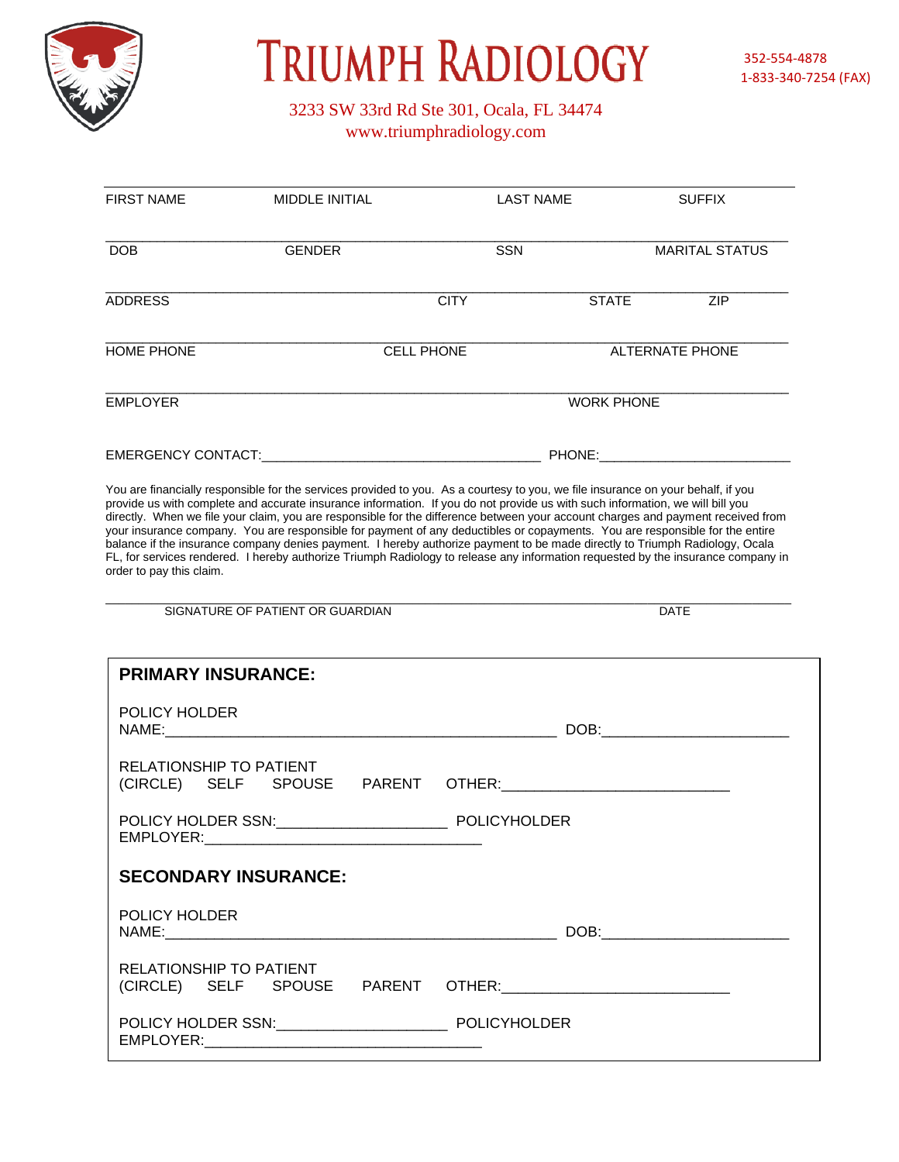

# **TRIUMPH RADIOLOGY**

### 3233 SW 33rd Rd Ste 301, Ocala, FL 34474 www.triumphradiology.com

| <b>FIRST NAME</b>         | <b>MIDDLE INITIAL</b> |                                             | <b>LAST NAME</b> |              | <b>SUFFIX</b>         |
|---------------------------|-----------------------|---------------------------------------------|------------------|--------------|-----------------------|
| <b>DOB</b>                | <b>GENDER</b>         |                                             | <b>SSN</b>       |              | <b>MARITAL STATUS</b> |
| <b>ADDRESS</b>            |                       | <b>CITY</b>                                 |                  | <b>STATE</b> | <b>ZIP</b>            |
| HOME PHONE                |                       | <b>CELL PHONE</b><br><b>ALTERNATE PHONE</b> |                  |              |                       |
| <b>EMPLOYER</b>           |                       | <b>WORK PHONE</b>                           |                  |              |                       |
| <b>EMERGENCY CONTACT:</b> |                       |                                             | PHONE:           |              |                       |

You are financially responsible for the services provided to you. As a courtesy to you, we file insurance on your behalf, if you provide us with complete and accurate insurance information. If you do not provide us with such information, we will bill you directly. When we file your claim, you are responsible for the difference between your account charges and payment received from your insurance company. You are responsible for payment of any deductibles or copayments. You are responsible for the entire balance if the insurance company denies payment. I hereby authorize payment to be made directly to Triumph Radiology, Ocala FL, for services rendered. I hereby authorize Triumph Radiology to release any information requested by the insurance company in order to pay this claim.

\_\_\_\_\_\_\_\_\_\_\_\_\_\_\_\_\_\_\_\_\_\_\_\_\_\_\_\_\_\_\_\_\_\_\_\_\_\_\_\_\_\_\_\_\_\_\_\_\_\_\_\_\_\_\_\_\_\_\_\_\_\_\_\_\_\_\_\_\_\_\_\_\_\_\_\_\_\_\_\_\_\_\_\_\_\_\_\_\_\_\_\_\_\_\_\_\_\_\_\_\_\_\_\_\_ SIGNATURE OF PATIENT OR GUARDIAN DATE

| <b>PRIMARY INSURANCE:</b>      |  |
|--------------------------------|--|
| POLICY HOLDER                  |  |
| <b>RELATIONSHIP TO PATIENT</b> |  |
|                                |  |
| <b>SECONDARY INSURANCE:</b>    |  |
| POLICY HOLDER                  |  |
| <b>RELATIONSHIP TO PATIENT</b> |  |
|                                |  |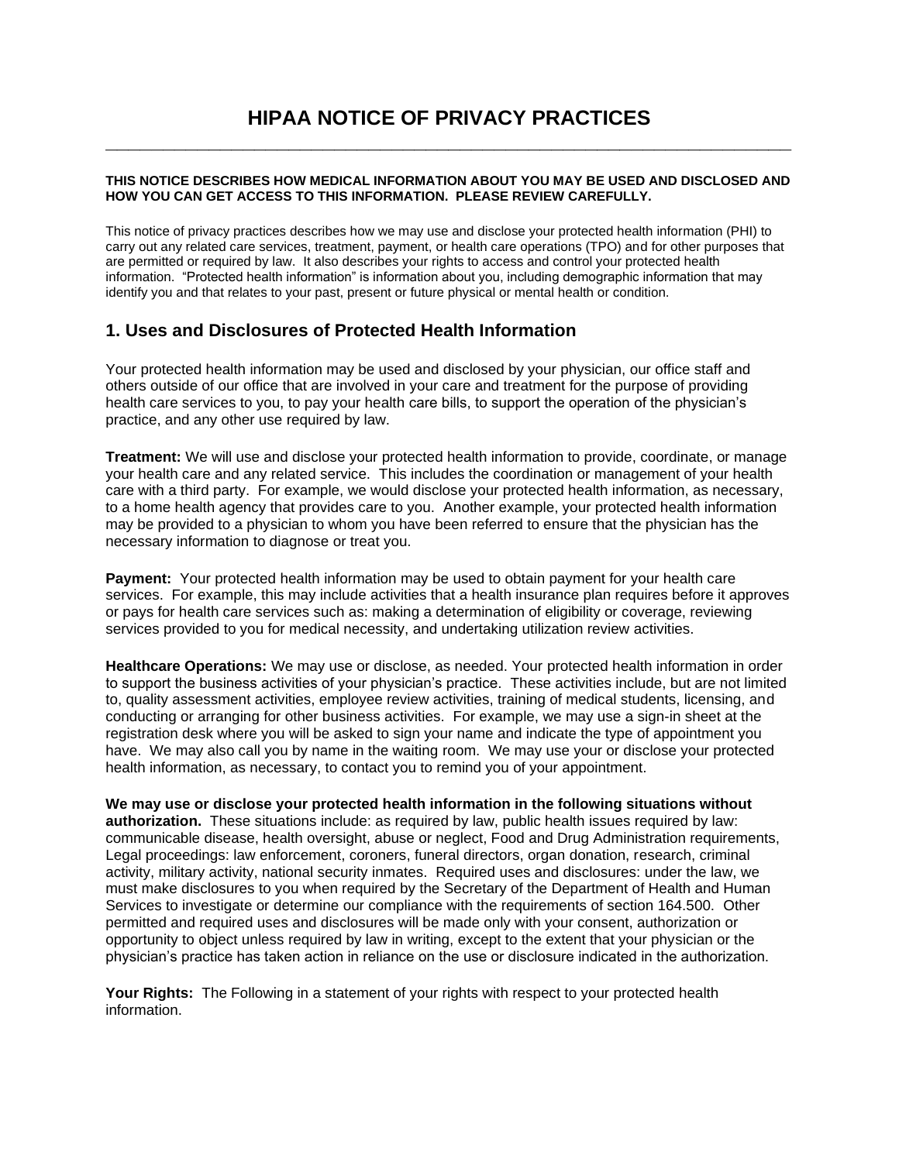#### **THIS NOTICE DESCRIBES HOW MEDICAL INFORMATION ABOUT YOU MAY BE USED AND DISCLOSED AND HOW YOU CAN GET ACCESS TO THIS INFORMATION. PLEASE REVIEW CAREFULLY.**

This notice of privacy practices describes how we may use and disclose your protected health information (PHI) to carry out any related care services, treatment, payment, or health care operations (TPO) and for other purposes that are permitted or required by law. It also describes your rights to access and control your protected health information. "Protected health information" is information about you, including demographic information that may identify you and that relates to your past, present or future physical or mental health or condition.

#### **1. Uses and Disclosures of Protected Health Information**

Your protected health information may be used and disclosed by your physician, our office staff and others outside of our office that are involved in your care and treatment for the purpose of providing health care services to you, to pay your health care bills, to support the operation of the physician's practice, and any other use required by law.

**Treatment:** We will use and disclose your protected health information to provide, coordinate, or manage your health care and any related service. This includes the coordination or management of your health care with a third party. For example, we would disclose your protected health information, as necessary, to a home health agency that provides care to you. Another example, your protected health information may be provided to a physician to whom you have been referred to ensure that the physician has the necessary information to diagnose or treat you.

**Payment:** Your protected health information may be used to obtain payment for your health care services. For example, this may include activities that a health insurance plan requires before it approves or pays for health care services such as: making a determination of eligibility or coverage, reviewing services provided to you for medical necessity, and undertaking utilization review activities.

**Healthcare Operations:** We may use or disclose, as needed. Your protected health information in order to support the business activities of your physician's practice. These activities include, but are not limited to, quality assessment activities, employee review activities, training of medical students, licensing, and conducting or arranging for other business activities. For example, we may use a sign-in sheet at the registration desk where you will be asked to sign your name and indicate the type of appointment you have. We may also call you by name in the waiting room. We may use your or disclose your protected health information, as necessary, to contact you to remind you of your appointment.

**We may use or disclose your protected health information in the following situations without authorization.** These situations include: as required by law, public health issues required by law: communicable disease, health oversight, abuse or neglect, Food and Drug Administration requirements, Legal proceedings: law enforcement, coroners, funeral directors, organ donation, research, criminal activity, military activity, national security inmates. Required uses and disclosures: under the law, we must make disclosures to you when required by the Secretary of the Department of Health and Human Services to investigate or determine our compliance with the requirements of section 164.500. Other permitted and required uses and disclosures will be made only with your consent, authorization or opportunity to object unless required by law in writing, except to the extent that your physician or the physician's practice has taken action in reliance on the use or disclosure indicated in the authorization.

**Your Rights:** The Following in a statement of your rights with respect to your protected health information.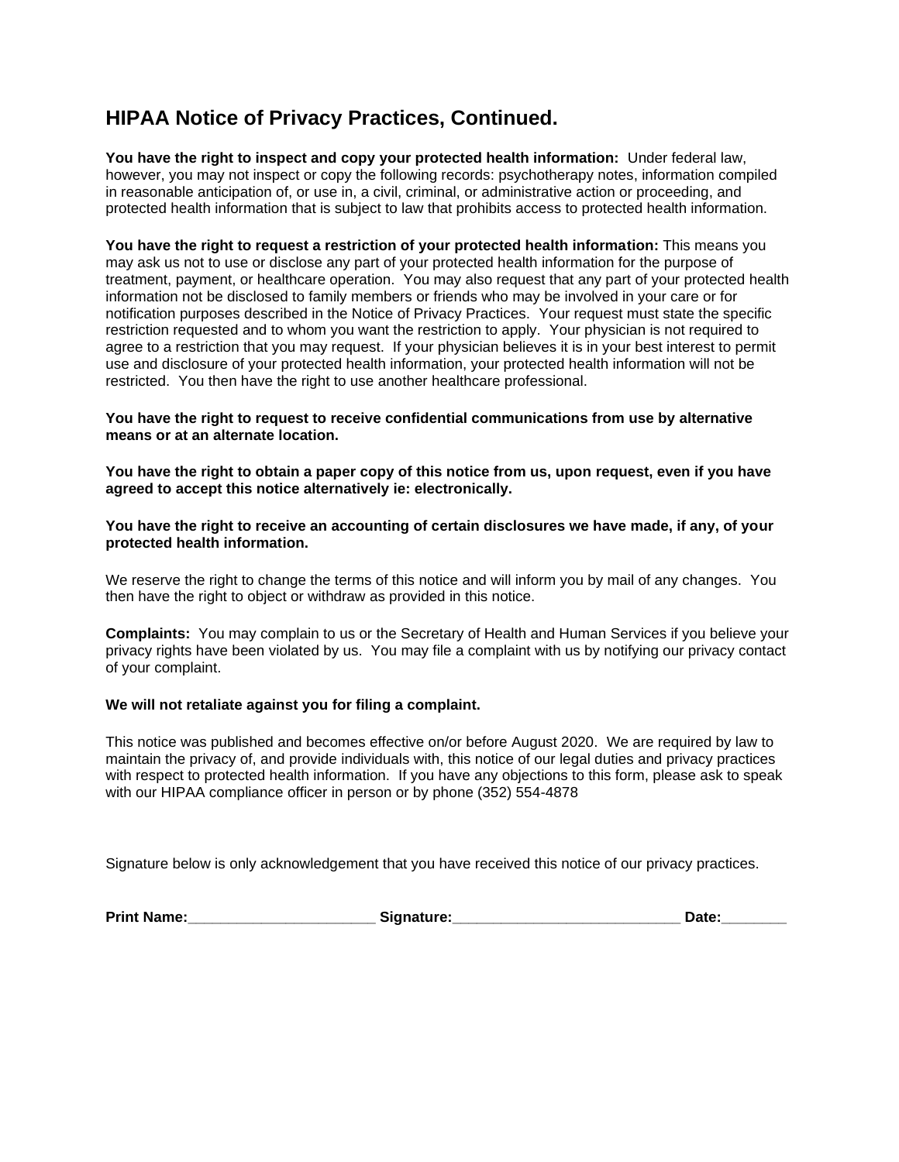# **HIPAA Notice of Privacy Practices, Continued.**

**You have the right to inspect and copy your protected health information:** Under federal law, however, you may not inspect or copy the following records: psychotherapy notes, information compiled in reasonable anticipation of, or use in, a civil, criminal, or administrative action or proceeding, and protected health information that is subject to law that prohibits access to protected health information.

**You have the right to request a restriction of your protected health information:** This means you may ask us not to use or disclose any part of your protected health information for the purpose of treatment, payment, or healthcare operation. You may also request that any part of your protected health information not be disclosed to family members or friends who may be involved in your care or for notification purposes described in the Notice of Privacy Practices. Your request must state the specific restriction requested and to whom you want the restriction to apply. Your physician is not required to agree to a restriction that you may request. If your physician believes it is in your best interest to permit use and disclosure of your protected health information, your protected health information will not be restricted. You then have the right to use another healthcare professional.

**You have the right to request to receive confidential communications from use by alternative means or at an alternate location.**

**You have the right to obtain a paper copy of this notice from us, upon request, even if you have agreed to accept this notice alternatively ie: electronically.**

**You have the right to receive an accounting of certain disclosures we have made, if any, of your protected health information.**

We reserve the right to change the terms of this notice and will inform you by mail of any changes. You then have the right to object or withdraw as provided in this notice.

**Complaints:** You may complain to us or the Secretary of Health and Human Services if you believe your privacy rights have been violated by us. You may file a complaint with us by notifying our privacy contact of your complaint.

#### **We will not retaliate against you for filing a complaint.**

This notice was published and becomes effective on/or before August 2020. We are required by law to maintain the privacy of, and provide individuals with, this notice of our legal duties and privacy practices with respect to protected health information. If you have any objections to this form, please ask to speak with our HIPAA compliance officer in person or by phone (352) 554-4878

Signature below is only acknowledgement that you have received this notice of our privacy practices.

| <b>Print Name:</b> | Signature:<br>. | าate |
|--------------------|-----------------|------|
|                    |                 |      |